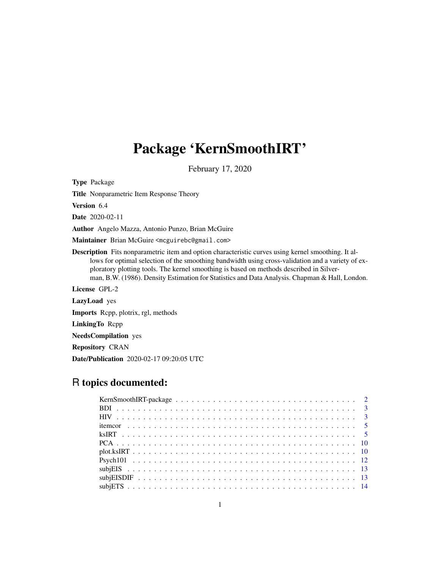# Package 'KernSmoothIRT'

February 17, 2020

Type Package Title Nonparametric Item Response Theory Version 6.4 Date 2020-02-11 Author Angelo Mazza, Antonio Punzo, Brian McGuire Maintainer Brian McGuire <mcguirebc@gmail.com> Description Fits nonparametric item and option characteristic curves using kernel smoothing. It allows for optimal selection of the smoothing bandwidth using cross-validation and a variety of exploratory plotting tools. The kernel smoothing is based on methods described in Silverman, B.W. (1986). Density Estimation for Statistics and Data Analysis. Chapman & Hall, London. License GPL-2 LazyLoad yes Imports Rcpp, plotrix, rgl, methods LinkingTo Rcpp NeedsCompilation yes Repository CRAN Date/Publication 2020-02-17 09:20:05 UTC

## R topics documented: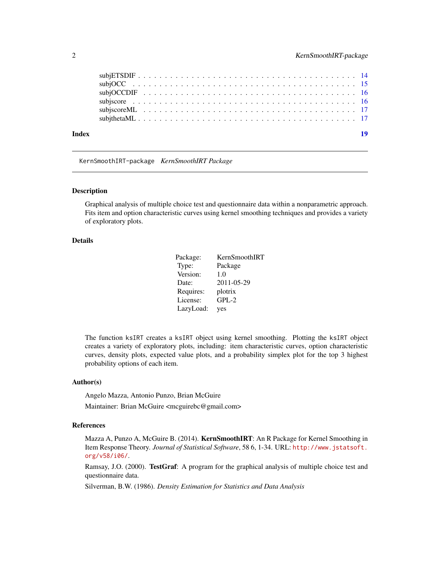<span id="page-1-0"></span>

| Index |  |  |  |  |  |  |  |  |  |  |  |  |  |  |  |  |  | 19 |
|-------|--|--|--|--|--|--|--|--|--|--|--|--|--|--|--|--|--|----|
|       |  |  |  |  |  |  |  |  |  |  |  |  |  |  |  |  |  |    |
|       |  |  |  |  |  |  |  |  |  |  |  |  |  |  |  |  |  |    |
|       |  |  |  |  |  |  |  |  |  |  |  |  |  |  |  |  |  |    |
|       |  |  |  |  |  |  |  |  |  |  |  |  |  |  |  |  |  |    |
|       |  |  |  |  |  |  |  |  |  |  |  |  |  |  |  |  |  |    |
|       |  |  |  |  |  |  |  |  |  |  |  |  |  |  |  |  |  |    |

KernSmoothIRT-package *KernSmoothIRT Package*

#### Description

Graphical analysis of multiple choice test and questionnaire data within a nonparametric approach. Fits item and option characteristic curves using kernel smoothing techniques and provides a variety of exploratory plots.

#### Details

| Package:  | KernSmoothIRT |
|-----------|---------------|
| Type:     | Package       |
| Version:  | 1.0           |
| Date:     | 2011-05-29    |
| Requires: | plotrix       |
| License:  | $GPL-2$       |
| LazyLoad: | yes           |

The function ksIRT creates a ksIRT object using kernel smoothing. Plotting the ksIRT object creates a variety of exploratory plots, including: item characteristic curves, option characteristic curves, density plots, expected value plots, and a probability simplex plot for the top 3 highest probability options of each item.

#### Author(s)

Angelo Mazza, Antonio Punzo, Brian McGuire

Maintainer: Brian McGuire <mcguirebc@gmail.com>

#### References

Mazza A, Punzo A, McGuire B. (2014). KernSmoothIRT: An R Package for Kernel Smoothing in Item Response Theory. *Journal of Statistical Software*, 58 6, 1-34. URL: [http://www.jstatsoft.](http://www.jstatsoft.org/v58/i06/) [org/v58/i06/](http://www.jstatsoft.org/v58/i06/).

Ramsay, J.O. (2000). TestGraf: A program for the graphical analysis of multiple choice test and questionnaire data.

Silverman, B.W. (1986). *Density Estimation for Statistics and Data Analysis*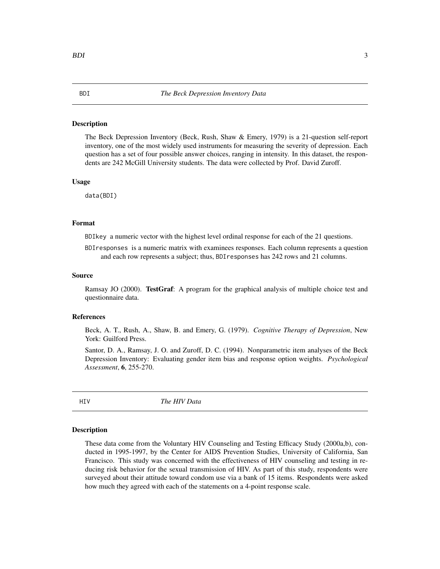#### <span id="page-2-0"></span>Description

The Beck Depression Inventory (Beck, Rush, Shaw & Emery, 1979) is a 21-question self-report inventory, one of the most widely used instruments for measuring the severity of depression. Each question has a set of four possible answer choices, ranging in intensity. In this dataset, the respondents are 242 McGill University students. The data were collected by Prof. David Zuroff.

#### Usage

data(BDI)

#### Format

BDIkey a numeric vector with the highest level ordinal response for each of the 21 questions.

BDIresponses is a numeric matrix with examinees responses. Each column represents a question and each row represents a subject; thus, BDIresponses has 242 rows and 21 columns.

#### Source

Ramsay JO (2000). TestGraf: A program for the graphical analysis of multiple choice test and questionnaire data.

#### References

Beck, A. T., Rush, A., Shaw, B. and Emery, G. (1979). *Cognitive Therapy of Depression*, New York: Guilford Press.

Santor, D. A., Ramsay, J. O. and Zuroff, D. C. (1994). Nonparametric item analyses of the Beck Depression Inventory: Evaluating gender item bias and response option weights. *Psychological Assessment*, 6, 255-270.

HIV *The HIV Data*

#### Description

These data come from the Voluntary HIV Counseling and Testing Efficacy Study (2000a,b), conducted in 1995-1997, by the Center for AIDS Prevention Studies, University of California, San Francisco. This study was concerned with the effectiveness of HIV counseling and testing in reducing risk behavior for the sexual transmission of HIV. As part of this study, respondents were surveyed about their attitude toward condom use via a bank of 15 items. Respondents were asked how much they agreed with each of the statements on a 4-point response scale.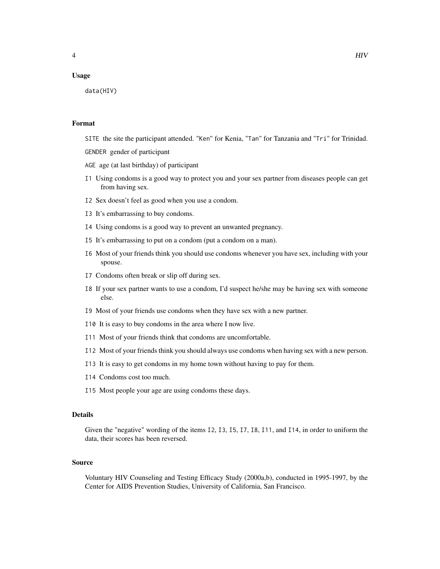#### Usage

data(HIV)

#### Format

SITE the site the participant attended. "Ken" for Kenia, "Tan" for Tanzania and "Tri" for Trinidad. GENDER gender of participant

AGE age (at last birthday) of participant

- I1 Using condoms is a good way to protect you and your sex partner from diseases people can get from having sex.
- I2 Sex doesn't feel as good when you use a condom.
- I3 It's embarrassing to buy condoms.
- I4 Using condoms is a good way to prevent an unwanted pregnancy.
- I5 It's embarrassing to put on a condom (put a condom on a man).
- I6 Most of your friends think you should use condoms whenever you have sex, including with your spouse.
- I7 Condoms often break or slip off during sex.
- I8 If your sex partner wants to use a condom, I'd suspect he/she may be having sex with someone else.
- I9 Most of your friends use condoms when they have sex with a new partner.
- I10 It is easy to buy condoms in the area where I now live.
- I11 Most of your friends think that condoms are uncomfortable.
- I12 Most of your friends think you should always use condoms when having sex with a new person.
- I13 It is easy to get condoms in my home town without having to pay for them.
- I14 Condoms cost too much.
- I15 Most people your age are using condoms these days.

#### Details

Given the "negative" wording of the items I2, I3, I5, I7, I8, I11, and I14, in order to uniform the data, their scores has been reversed.

#### Source

Voluntary HIV Counseling and Testing Efficacy Study (2000a,b), conducted in 1995-1997, by the Center for AIDS Prevention Studies, University of California, San Francisco.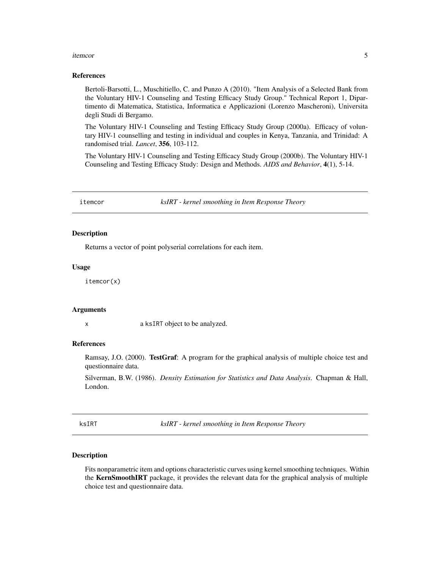#### <span id="page-4-0"></span>itemcor 5

#### References

Bertoli-Barsotti, L., Muschitiello, C. and Punzo A (2010). "Item Analysis of a Selected Bank from the Voluntary HIV-1 Counseling and Testing Efficacy Study Group." Technical Report 1, Dipartimento di Matematica, Statistica, Informatica e Applicazioni (Lorenzo Mascheroni), Universita degli Studi di Bergamo.

The Voluntary HIV-1 Counseling and Testing Efficacy Study Group (2000a). Efficacy of voluntary HIV-1 counselling and testing in individual and couples in Kenya, Tanzania, and Trinidad: A randomised trial. *Lancet*, 356, 103-112.

The Voluntary HIV-1 Counseling and Testing Efficacy Study Group (2000b). The Voluntary HIV-1 Counseling and Testing Efficacy Study: Design and Methods. *AIDS and Behavior*, 4(1), 5-14.

itemcor *ksIRT - kernel smoothing in Item Response Theory*

#### Description

Returns a vector of point polyserial correlations for each item.

#### Usage

itemcor(x)

#### Arguments

x a ksIRT object to be analyzed.

#### References

Ramsay, J.O. (2000). TestGraf: A program for the graphical analysis of multiple choice test and questionnaire data.

Silverman, B.W. (1986). *Density Estimation for Statistics and Data Analysis*. Chapman & Hall, London.

ksIRT *ksIRT - kernel smoothing in Item Response Theory*

#### Description

Fits nonparametric item and options characteristic curves using kernel smoothing techniques. Within the KernSmoothIRT package, it provides the relevant data for the graphical analysis of multiple choice test and questionnaire data.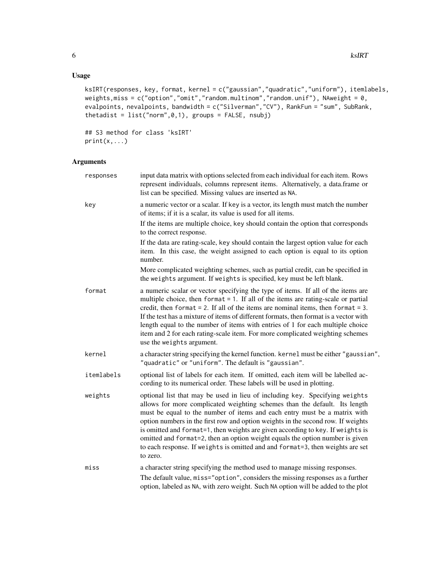### Usage

```
ksIRT(responses, key, format, kernel = c("gaussian","quadratic","uniform"), itemlabels,
weights,miss = c("option","omit","random.multinom","random.unif"), NAweight = 0,
evalpoints, nevalpoints, bandwidth = c("Silverman","CV"), RankFun = "sum", SubRank,
thetadist = list("norm", 0, 1), groups = FALSE, nsubj)
```
## S3 method for class 'ksIRT'  $print(x,...)$ 

#### Arguments

| responses  | input data matrix with options selected from each individual for each item. Rows<br>represent individuals, columns represent items. Alternatively, a data.frame or<br>list can be specified. Missing values are inserted as NA.                                                                                                                                                                                                                                                                                                                                                              |
|------------|----------------------------------------------------------------------------------------------------------------------------------------------------------------------------------------------------------------------------------------------------------------------------------------------------------------------------------------------------------------------------------------------------------------------------------------------------------------------------------------------------------------------------------------------------------------------------------------------|
| key        | a numeric vector or a scalar. If key is a vector, its length must match the number<br>of items; if it is a scalar, its value is used for all items.                                                                                                                                                                                                                                                                                                                                                                                                                                          |
|            | If the items are multiple choice, key should contain the option that corresponds<br>to the correct response.                                                                                                                                                                                                                                                                                                                                                                                                                                                                                 |
|            | If the data are rating-scale, key should contain the largest option value for each<br>item. In this case, the weight assigned to each option is equal to its option<br>number.                                                                                                                                                                                                                                                                                                                                                                                                               |
|            | More complicated weighting schemes, such as partial credit, can be specified in<br>the weights argument. If weights is specified, key must be left blank.                                                                                                                                                                                                                                                                                                                                                                                                                                    |
| format     | a numeric scalar or vector specifying the type of items. If all of the items are<br>multiple choice, then format $= 1$ . If all of the items are rating-scale or partial<br>credit, then format $= 2$ . If all of the items are nominal items, then format $= 3$ .<br>If the test has a mixture of items of different formats, then format is a vector with<br>length equal to the number of items with entries of 1 for each multiple choice<br>item and 2 for each rating-scale item. For more complicated weighting schemes<br>use the weights argument.                                  |
| kernel     | a character string specifying the kernel function. kernel must be either "gaussian",<br>"quadratic" or "uniform". The default is "gaussian".                                                                                                                                                                                                                                                                                                                                                                                                                                                 |
| itemlabels | optional list of labels for each item. If omitted, each item will be labelled ac-<br>cording to its numerical order. These labels will be used in plotting.                                                                                                                                                                                                                                                                                                                                                                                                                                  |
| weights    | optional list that may be used in lieu of including key. Specifying weights<br>allows for more complicated weighting schemes than the default. Its length<br>must be equal to the number of items and each entry must be a matrix with<br>option numbers in the first row and option weights in the second row. If weights<br>is omitted and format=1, then weights are given according to key. If weights is<br>omitted and format=2, then an option weight equals the option number is given<br>to each response. If weights is omitted and and format=3, then weights are set<br>to zero. |
| miss       | a character string specifying the method used to manage missing responses.                                                                                                                                                                                                                                                                                                                                                                                                                                                                                                                   |
|            | The default value, miss="option", considers the missing responses as a further<br>option, labeled as NA, with zero weight. Such NA option will be added to the plot                                                                                                                                                                                                                                                                                                                                                                                                                          |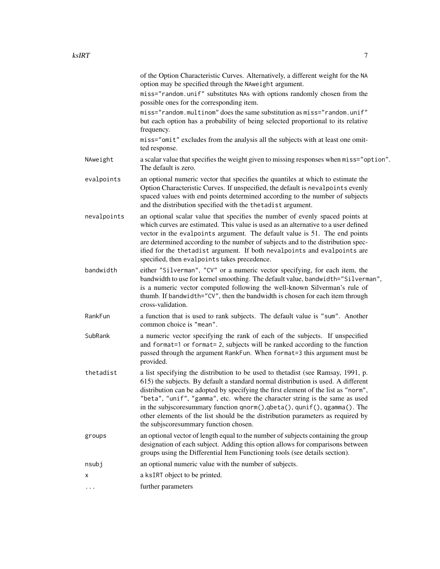|             | of the Option Characteristic Curves. Alternatively, a different weight for the NA<br>option may be specified through the NAweight argument.                                                                                                                                                                                                                                                                                                                                                                                                          |
|-------------|------------------------------------------------------------------------------------------------------------------------------------------------------------------------------------------------------------------------------------------------------------------------------------------------------------------------------------------------------------------------------------------------------------------------------------------------------------------------------------------------------------------------------------------------------|
|             | miss="random.unif" substitutes NAs with options randomly chosen from the<br>possible ones for the corresponding item.                                                                                                                                                                                                                                                                                                                                                                                                                                |
|             | miss="random.multinom" does the same substitution as miss="random.unif"<br>but each option has a probability of being selected proportional to its relative<br>frequency.                                                                                                                                                                                                                                                                                                                                                                            |
|             | miss="omit" excludes from the analysis all the subjects with at least one omit-<br>ted response.                                                                                                                                                                                                                                                                                                                                                                                                                                                     |
| NAweight    | a scalar value that specifies the weight given to missing responses when miss="option".<br>The default is zero.                                                                                                                                                                                                                                                                                                                                                                                                                                      |
| evalpoints  | an optional numeric vector that specifies the quantiles at which to estimate the<br>Option Characteristic Curves. If unspecified, the default is nevalpoints evenly<br>spaced values with end points determined according to the number of subjects<br>and the distribution specified with the the tadist argument.                                                                                                                                                                                                                                  |
| nevalpoints | an optional scalar value that specifies the number of evenly spaced points at<br>which curves are estimated. This value is used as an alternative to a user defined<br>vector in the evalpoints argument. The default value is 51. The end points<br>are determined according to the number of subjects and to the distribution spec-<br>ified for the thetadist argument. If both nevalpoints and evalpoints are<br>specified, then evalpoints takes precedence.                                                                                    |
| bandwidth   | either "Silverman", "CV" or a numeric vector specifying, for each item, the<br>bandwidth to use for kernel smoothing. The default value, bandwidth="Silverman",<br>is a numeric vector computed following the well-known Silverman's rule of<br>thumb. If bandwidth="CV", then the bandwidth is chosen for each item through<br>cross-validation.                                                                                                                                                                                                    |
| RankFun     | a function that is used to rank subjects. The default value is "sum". Another<br>common choice is "mean".                                                                                                                                                                                                                                                                                                                                                                                                                                            |
| SubRank     | a numeric vector specifying the rank of each of the subjects. If unspecified<br>and format=1 or format=2, subjects will be ranked according to the function<br>passed through the argument RankFun. When format=3 this argument must be<br>provided.                                                                                                                                                                                                                                                                                                 |
| thetadist   | a list specifying the distribution to be used to thetadist (see Ramsay, 1991, p.<br>615) the subjects. By default a standard normal distribution is used. A different<br>distribution can be adopted by specifying the first element of the list as "norm",<br>"beta", "unif", "gamma", etc. where the character string is the same as used<br>in the subjscoresummary function qnorm(), qbeta(), qunif(), qgamma(). The<br>other elements of the list should be the distribution parameters as required by<br>the subjscoresummary function chosen. |
| groups      | an optional vector of length equal to the number of subjects containing the group<br>designation of each subject. Adding this option allows for comparisons between<br>groups using the Differential Item Functioning tools (see details section).                                                                                                                                                                                                                                                                                                   |
| nsubj       | an optional numeric value with the number of subjects.                                                                                                                                                                                                                                                                                                                                                                                                                                                                                               |
| x           | a ksIRT object to be printed.                                                                                                                                                                                                                                                                                                                                                                                                                                                                                                                        |
| .           | further parameters                                                                                                                                                                                                                                                                                                                                                                                                                                                                                                                                   |
|             |                                                                                                                                                                                                                                                                                                                                                                                                                                                                                                                                                      |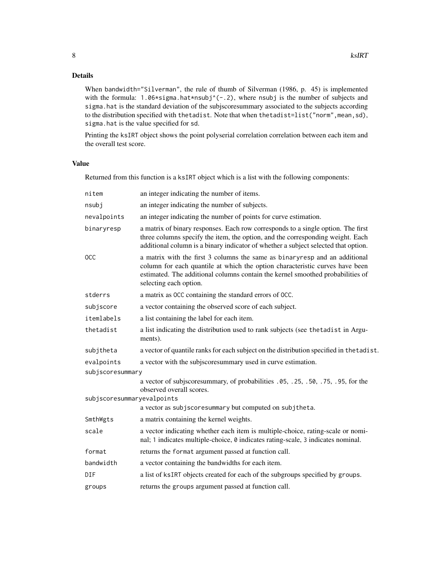### Details

When bandwidth="Silverman", the rule of thumb of Silverman (1986, p. 45) is implemented with the formula: 1.06\*sigma.hat\*nsubj^(-.2), where nsubj is the number of subjects and sigma.hat is the standard deviation of the subjscoresummary associated to the subjects according to the distribution specified with thetadist. Note that when thetadist=list("norm", mean, sd), sigma.hat is the value specified for sd.

Printing the ksIRT object shows the point polyserial correlation correlation between each item and the overall test score.

#### Value

Returned from this function is a ksIRT object which is a list with the following components:

| nitem                      | an integer indicating the number of items.                                                                                                                                                                                                                             |
|----------------------------|------------------------------------------------------------------------------------------------------------------------------------------------------------------------------------------------------------------------------------------------------------------------|
| nsubj                      | an integer indicating the number of subjects.                                                                                                                                                                                                                          |
| nevalpoints                | an integer indicating the number of points for curve estimation.                                                                                                                                                                                                       |
| binaryresp                 | a matrix of binary responses. Each row corresponds to a single option. The first<br>three columns specify the item, the option, and the corresponding weight. Each<br>additional column is a binary indicator of whether a subject selected that option.               |
| <b>OCC</b>                 | a matrix with the first 3 columns the same as binaryresp and an additional<br>column for each quantile at which the option characteristic curves have been<br>estimated. The additional columns contain the kernel smoothed probabilities of<br>selecting each option. |
| stderrs                    | a matrix as OCC containing the standard errors of OCC.                                                                                                                                                                                                                 |
| subjscore                  | a vector containing the observed score of each subject.                                                                                                                                                                                                                |
| itemlabels                 | a list containing the label for each item.                                                                                                                                                                                                                             |
| thetadist                  | a list indicating the distribution used to rank subjects (see the tadist in Argu-<br>ments).                                                                                                                                                                           |
| subjtheta                  | a vector of quantile ranks for each subject on the distribution specified in the tadist.                                                                                                                                                                               |
| evalpoints                 | a vector with the subjscoresummary used in curve estimation.                                                                                                                                                                                                           |
| subjscoresummary           |                                                                                                                                                                                                                                                                        |
| subjscoresummaryevalpoints | a vector of subjscoresummary, of probabilities .05, .25, .50, .75, .95, for the<br>observed overall scores.                                                                                                                                                            |
|                            | a vector as subjscoresummary but computed on subjtheta.                                                                                                                                                                                                                |
| SmthWgts                   | a matrix containing the kernel weights.                                                                                                                                                                                                                                |
| scale                      | a vector indicating whether each item is multiple-choice, rating-scale or nomi-<br>nal; 1 indicates multiple-choice, 0 indicates rating-scale, 3 indicates nominal.                                                                                                    |
| format                     | returns the format argument passed at function call.                                                                                                                                                                                                                   |
| bandwidth                  | a vector containing the bandwidths for each item.                                                                                                                                                                                                                      |
| DIF                        | a list of ksIRT objects created for each of the subgroups specified by groups.                                                                                                                                                                                         |
| groups                     | returns the groups argument passed at function call.                                                                                                                                                                                                                   |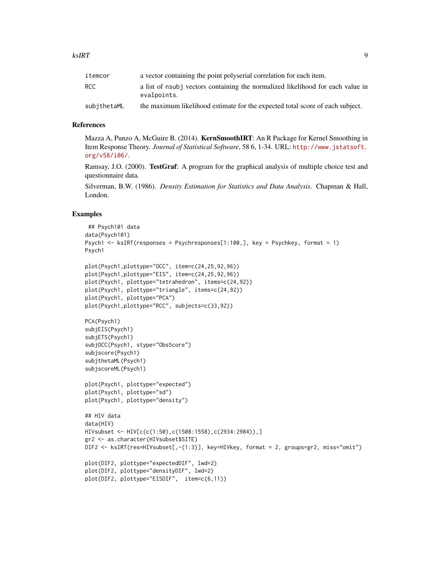| itemcor     | a vector containing the point polyserial correlation for each item.                           |
|-------------|-----------------------------------------------------------------------------------------------|
| RCC.        | a list of nsubj vectors containing the normalized likelihood for each value in<br>evalpoints. |
| subithetaML | the maximum likelihood estimate for the expected total score of each subject.                 |

#### References

Mazza A, Punzo A, McGuire B. (2014). KernSmoothIRT: An R Package for Kernel Smoothing in Item Response Theory. *Journal of Statistical Software*, 58 6, 1-34. URL: [http://www.jstatsoft.](http://www.jstatsoft.org/v58/i06/) [org/v58/i06/](http://www.jstatsoft.org/v58/i06/).

Ramsay, J.O. (2000). **TestGraf**: A program for the graphical analysis of multiple choice test and questionnaire data.

Silverman, B.W. (1986). *Density Estimation for Statistics and Data Analysis*. Chapman & Hall, London.

#### Examples

```
## Psych101 data
data(Psych101)
Psych1 \le ksIRT(responses = Psychresponses[1:100,], key = Psychkey, format = 1)
Psych1
plot(Psych1,plottype="OCC", item=c(24,25,92,96))
plot(Psych1,plottype="EIS", item=c(24,25,92,96))
plot(Psych1, plottype="tetrahedron", items=c(24,92))
plot(Psych1, plottype="triangle", items=c(24,92))
plot(Psych1, plottype="PCA")
plot(Psych1,plottype="RCC", subjects=c(33,92))
PCA(Psych1)
subjEIS(Psych1)
subjETS(Psych1)
subjOCC(Psych1, stype="ObsScore")
subjscore(Psych1)
subjthetaML(Psych1)
subjscoreML(Psych1)
plot(Psych1, plottype="expected")
plot(Psych1, plottype="sd")
plot(Psych1, plottype="density")
## HIV data
data(HIV)
HIVsubset <- HIV[c(c(1:50),c(1508:1558),c(2934:2984)),]
gr2 <- as.character(HIVsubset$SITE)
DIF2 <- ksIRT(res=HIVsubset[,-(1:3)], key=HIVkey, format = 2, groups=gr2, miss="omit")
plot(DIF2, plottype="expectedDIF", lwd=2)
plot(DIF2, plottype="densityDIF", lwd=2)
plot(DIF2, plottype="EISDIF", item=c(6,11))
```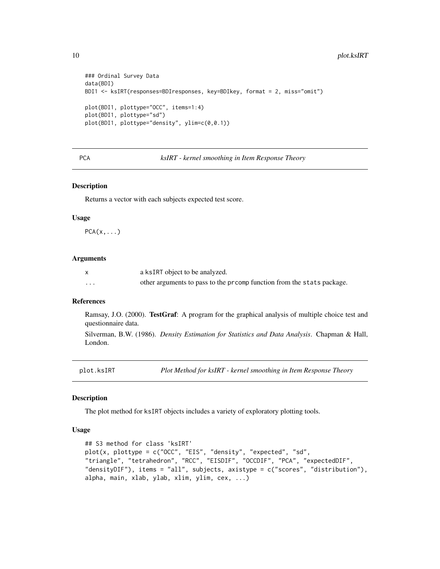```
### Ordinal Survey Data
data(BDI)
BDI1 <- ksIRT(responses=BDIresponses, key=BDIkey, format = 2, miss="omit")
plot(BDI1, plottype="OCC", items=1:4)
plot(BDI1, plottype="sd")
plot(BDI1, plottype="density", ylim=c(0,0.1))
```
PCA *ksIRT - kernel smoothing in Item Response Theory*

#### Description

Returns a vector with each subjects expected test score.

#### Usage

 $PCA(x,...)$ 

#### Arguments

|          | a ksIRT object to be analyzed.                                        |
|----------|-----------------------------------------------------------------------|
| $\cdots$ | other arguments to pass to the promp function from the stats package. |

#### References

Ramsay, J.O. (2000). **TestGraf**: A program for the graphical analysis of multiple choice test and questionnaire data.

Silverman, B.W. (1986). *Density Estimation for Statistics and Data Analysis*. Chapman & Hall, London.

plot.ksIRT *Plot Method for ksIRT - kernel smoothing in Item Response Theory*

#### Description

The plot method for ksIRT objects includes a variety of exploratory plotting tools.

#### Usage

```
## S3 method for class 'ksIRT'
plot(x, plottype = c("OCC", "EIS", "density", "expected", "sd",
"triangle", "tetrahedron", "RCC", "EISDIF", "OCCDIF", "PCA", "expectedDIF",
"densityDIF"), items = "all", subjects, axistype = c("scores", "distribution"),
alpha, main, xlab, ylab, xlim, ylim, cex, ...)
```
<span id="page-9-0"></span>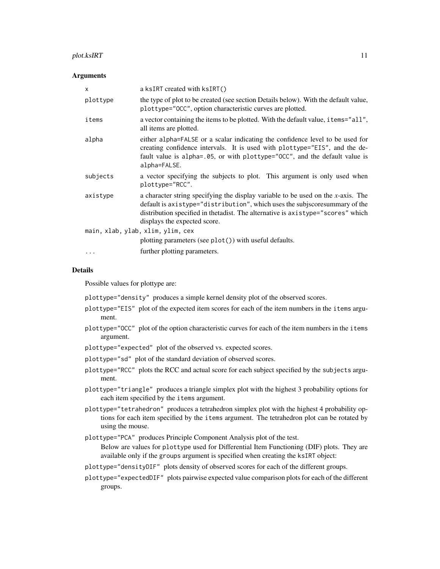#### $p$ lot.ksIRT  $11$

#### **Arguments**

| X        | a ksIRT created with ksIRT()                                                                                                                                                                                                                                                          |
|----------|---------------------------------------------------------------------------------------------------------------------------------------------------------------------------------------------------------------------------------------------------------------------------------------|
| plottype | the type of plot to be created (see section Details below). With the default value,<br>plottype="OCC", option characteristic curves are plotted.                                                                                                                                      |
| items    | a vector containing the items to be plotted. With the default value, i tems="all",<br>all items are plotted.                                                                                                                                                                          |
| alpha    | either alpha=FALSE or a scalar indicating the confidence level to be used for<br>creating confidence intervals. It is used with plottype="EIS", and the de-<br>fault value is alpha=.05, or with plottype="OCC", and the default value is<br>alpha=FALSE.                             |
| subjects | a vector specifying the subjects to plot. This argument is only used when<br>plottype="RCC".                                                                                                                                                                                          |
| axistype | a character string specifying the display variable to be used on the $x$ -axis. The<br>default is axistype="distribution", which uses the subjscoresummary of the<br>distribution specified in the tadist. The alternative is axistype="scores" which<br>displays the expected score. |
|          | main, xlab, ylab, xlim, ylim, cex                                                                                                                                                                                                                                                     |
|          | plotting parameters (see $plot()$ ) with useful defaults.                                                                                                                                                                                                                             |
|          | further plotting parameters.                                                                                                                                                                                                                                                          |

#### Details

Possible values for plottype are:

plottype="density" produces a simple kernel density plot of the observed scores.

- plottype="EIS" plot of the expected item scores for each of the item numbers in the items argument.
- plottype="OCC" plot of the option characteristic curves for each of the item numbers in the items argument.
- plottype="expected" plot of the observed vs. expected scores.
- plottype="sd" plot of the standard deviation of observed scores.
- plottype="RCC" plots the RCC and actual score for each subject specified by the subjects argument.
- plottype="triangle" produces a triangle simplex plot with the highest 3 probability options for each item specified by the items argument.
- plottype="tetrahedron" produces a tetrahedron simplex plot with the highest 4 probability options for each item specified by the items argument. The tetrahedron plot can be rotated by using the mouse.
- plottype="PCA" produces Principle Component Analysis plot of the test.

Below are values for plottype used for Differential Item Functioning (DIF) plots. They are available only if the groups argument is specified when creating the ksIRT object:

- plottype="densityDIF" plots density of observed scores for each of the different groups.
- plottype="expectedDIF" plots pairwise expected value comparison plots for each of the different groups.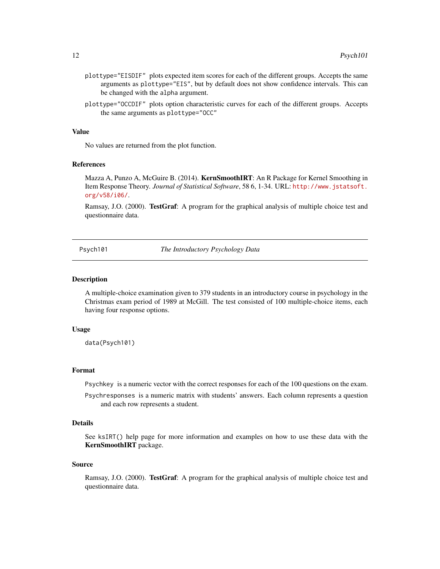- <span id="page-11-0"></span>plottype="EISDIF" plots expected item scores for each of the different groups. Accepts the same arguments as plottype="EIS", but by default does not show confidence intervals. This can be changed with the alpha argument.
- plottype="OCCDIF" plots option characteristic curves for each of the different groups. Accepts the same arguments as plottype="OCC"

#### Value

No values are returned from the plot function.

#### References

Mazza A, Punzo A, McGuire B. (2014). KernSmoothIRT: An R Package for Kernel Smoothing in Item Response Theory. *Journal of Statistical Software*, 58 6, 1-34. URL: [http://www.jstatsoft.](http://www.jstatsoft.org/v58/i06/) [org/v58/i06/](http://www.jstatsoft.org/v58/i06/).

Ramsay, J.O. (2000). **TestGraf**: A program for the graphical analysis of multiple choice test and questionnaire data.

Psych101 *The Introductory Psychology Data*

#### Description

A multiple-choice examination given to 379 students in an introductory course in psychology in the Christmas exam period of 1989 at McGill. The test consisted of 100 multiple-choice items, each having four response options.

#### Usage

data(Psych101)

#### Format

Psychkey is a numeric vector with the correct responses for each of the 100 questions on the exam.

Psychresponses is a numeric matrix with students' answers. Each column represents a question and each row represents a student.

#### Details

See ksIRT() help page for more information and examples on how to use these data with the KernSmoothIRT package.

#### Source

Ramsay, J.O. (2000). TestGraf: A program for the graphical analysis of multiple choice test and questionnaire data.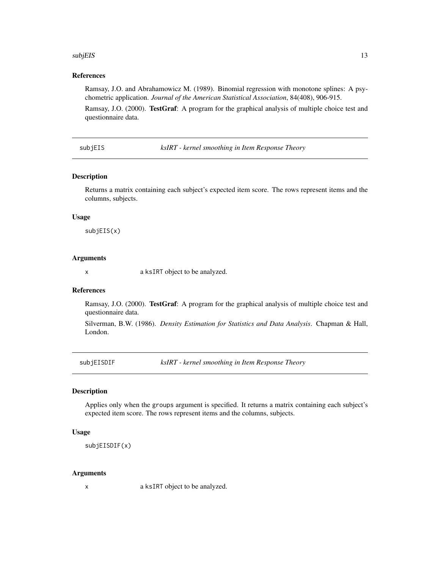#### <span id="page-12-0"></span>subjEIS and the state of the state of the state of the state of the state of the state of the state of the state of the state of the state of the state of the state of the state of the state of the state of the state of th

#### References

Ramsay, J.O. and Abrahamowicz M. (1989). Binomial regression with monotone splines: A psychometric application. *Journal of the American Statistical Association*, 84(408), 906-915.

Ramsay, J.O. (2000). TestGraf: A program for the graphical analysis of multiple choice test and questionnaire data.

subjEIS *ksIRT - kernel smoothing in Item Response Theory*

#### Description

Returns a matrix containing each subject's expected item score. The rows represent items and the columns, subjects.

#### Usage

subjEIS(x)

#### Arguments

x a ksIRT object to be analyzed.

#### References

Ramsay, J.O. (2000). TestGraf: A program for the graphical analysis of multiple choice test and questionnaire data.

Silverman, B.W. (1986). *Density Estimation for Statistics and Data Analysis*. Chapman & Hall, London.

subjEISDIF *ksIRT - kernel smoothing in Item Response Theory*

#### Description

Applies only when the groups argument is specified. It returns a matrix containing each subject's expected item score. The rows represent items and the columns, subjects.

#### Usage

subjEISDIF(x)

#### Arguments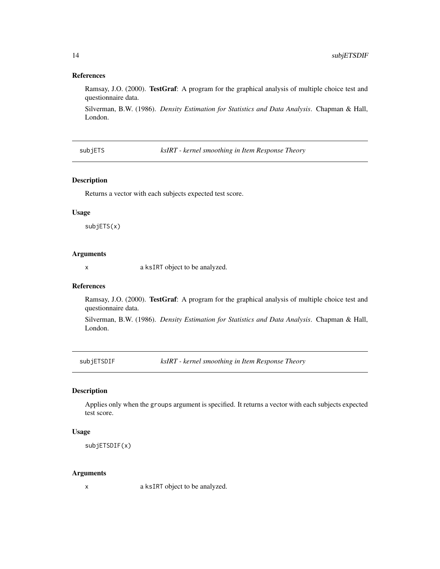#### <span id="page-13-0"></span>References

Ramsay, J.O. (2000). TestGraf: A program for the graphical analysis of multiple choice test and questionnaire data.

Silverman, B.W. (1986). *Density Estimation for Statistics and Data Analysis*. Chapman & Hall, London.

subjETS *ksIRT - kernel smoothing in Item Response Theory*

#### Description

Returns a vector with each subjects expected test score.

#### Usage

subjETS(x)

#### Arguments

x a ksIRT object to be analyzed.

#### References

Ramsay, J.O. (2000). TestGraf: A program for the graphical analysis of multiple choice test and questionnaire data.

Silverman, B.W. (1986). *Density Estimation for Statistics and Data Analysis*. Chapman & Hall, London.

subjETSDIF *ksIRT - kernel smoothing in Item Response Theory*

#### Description

Applies only when the groups argument is specified. It returns a vector with each subjects expected test score.

#### Usage

subjETSDIF(x)

#### Arguments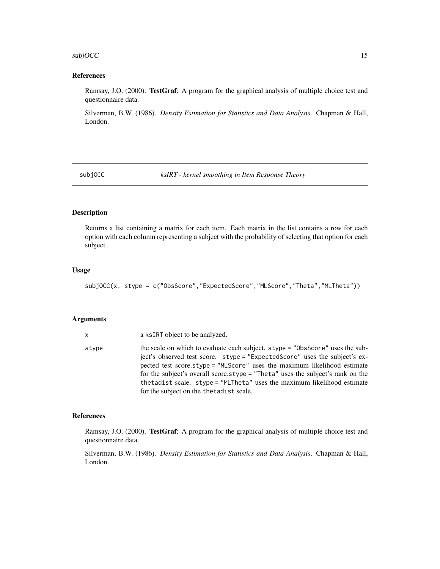#### <span id="page-14-0"></span> $\mathsf{subjOCC}$  15

#### References

Ramsay, J.O. (2000). TestGraf: A program for the graphical analysis of multiple choice test and questionnaire data.

Silverman, B.W. (1986). *Density Estimation for Statistics and Data Analysis*. Chapman & Hall, London.

subjOCC *ksIRT - kernel smoothing in Item Response Theory*

#### Description

Returns a list containing a matrix for each item. Each matrix in the list contains a row for each option with each column representing a subject with the probability of selecting that option for each subject.

#### Usage

subjOCC(x, stype = c("ObsScore","ExpectedScore","MLScore","Theta","MLTheta"))

#### Arguments

| x     | a ksIRT object to be analyzed.                                                                                                                                                                                                                                                                                                                                                                                                                    |
|-------|---------------------------------------------------------------------------------------------------------------------------------------------------------------------------------------------------------------------------------------------------------------------------------------------------------------------------------------------------------------------------------------------------------------------------------------------------|
| stvpe | the scale on which to evaluate each subject. stype = "0bsScore" uses the sub-<br>ject's observed test score. stype = "ExpectedScore" uses the subject's ex-<br>pected test score.stype = "MLScore" uses the maximum likelihood estimate<br>for the subject's overall score.stype = "Theta" uses the subject's rank on the<br>the tadist scale. stype = "MLTheta" uses the maximum likelihood estimate<br>for the subject on the the tadist scale. |

#### References

Ramsay, J.O. (2000). TestGraf: A program for the graphical analysis of multiple choice test and questionnaire data.

Silverman, B.W. (1986). *Density Estimation for Statistics and Data Analysis*. Chapman & Hall, London.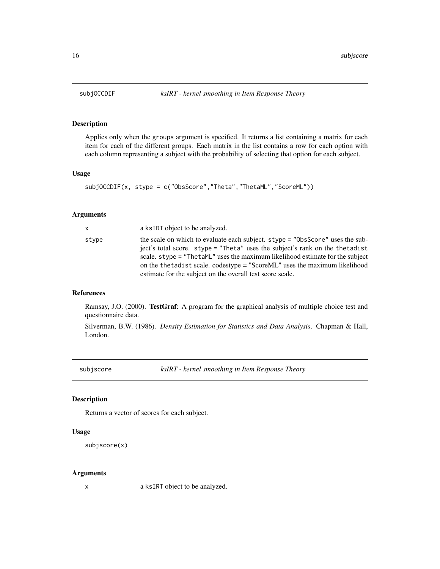#### Description

Applies only when the groups argument is specified. It returns a list containing a matrix for each item for each of the different groups. Each matrix in the list contains a row for each option with each column representing a subject with the probability of selecting that option for each subject.

#### Usage

```
subjOCCDIF(x, stype = c("ObsScore","Theta","ThetaML","ScoreML"))
```
#### Arguments

| <b>X</b> | a ksIRT object to be analyzed.                                                                                                                                                                                                                                                                                                                                                              |
|----------|---------------------------------------------------------------------------------------------------------------------------------------------------------------------------------------------------------------------------------------------------------------------------------------------------------------------------------------------------------------------------------------------|
| stype    | the scale on which to evaluate each subject. stype = "ObsScore" uses the sub-<br>ject's total score. stype = "Theta" uses the subject's rank on the thetadist<br>scale, stype = "ThetaML" uses the maximum likelihood estimate for the subject<br>on the the tad is t scale. codestype = "ScoreML" uses the maximum likelihood<br>estimate for the subject on the overall test score scale. |

#### References

Ramsay, J.O. (2000). TestGraf: A program for the graphical analysis of multiple choice test and questionnaire data.

Silverman, B.W. (1986). *Density Estimation for Statistics and Data Analysis*. Chapman & Hall, London.

subjscore *ksIRT - kernel smoothing in Item Response Theory*

#### Description

Returns a vector of scores for each subject.

#### Usage

```
subjscore(x)
```
#### Arguments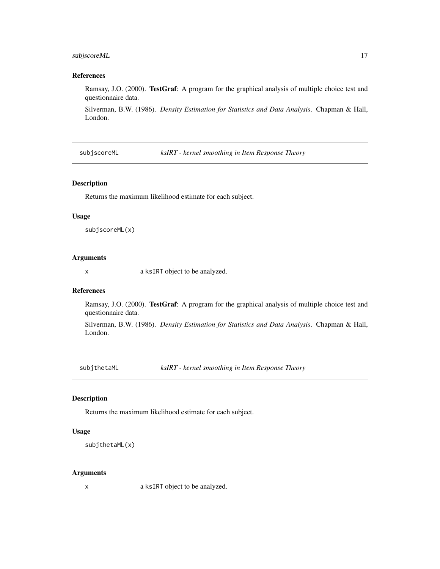#### <span id="page-16-0"></span>subjscoreML 17

#### References

Ramsay, J.O. (2000). TestGraf: A program for the graphical analysis of multiple choice test and questionnaire data.

Silverman, B.W. (1986). *Density Estimation for Statistics and Data Analysis*. Chapman & Hall, London.

subjscoreML *ksIRT - kernel smoothing in Item Response Theory*

#### Description

Returns the maximum likelihood estimate for each subject.

#### Usage

subjscoreML(x)

#### Arguments

x a ksIRT object to be analyzed.

#### References

Ramsay, J.O. (2000). TestGraf: A program for the graphical analysis of multiple choice test and questionnaire data.

Silverman, B.W. (1986). *Density Estimation for Statistics and Data Analysis*. Chapman & Hall, London.

subjthetaML *ksIRT - kernel smoothing in Item Response Theory*

#### Description

Returns the maximum likelihood estimate for each subject.

#### Usage

```
subjthetaML(x)
```
#### Arguments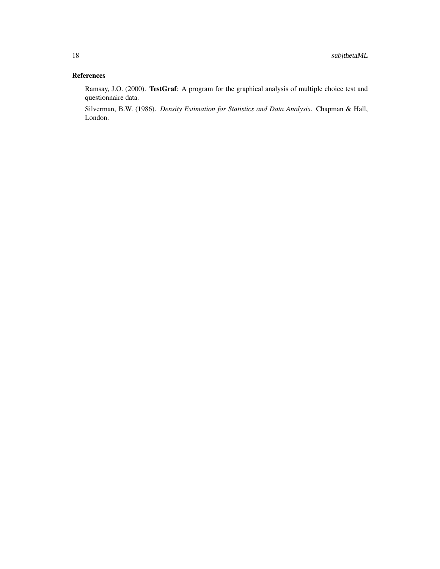#### References

Ramsay, J.O. (2000). TestGraf: A program for the graphical analysis of multiple choice test and questionnaire data.

Silverman, B.W. (1986). *Density Estimation for Statistics and Data Analysis*. Chapman & Hall, London.